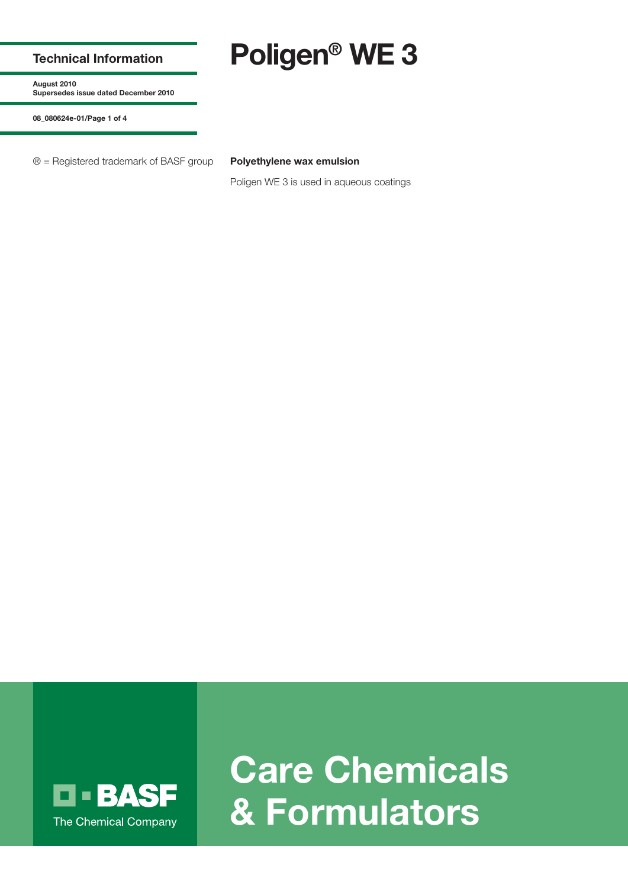## **Technical Information**

**Poligen® WE 3**

**August 2010 Supersedes issue dated December 2010**

**08\_080624e-01/Page 1 of 4**

® = Registered trademark of BASF group **Polyethylene wax emulsion**

Poligen WE 3 is used in aqueous coatings



**Care Chemicals & Formulators**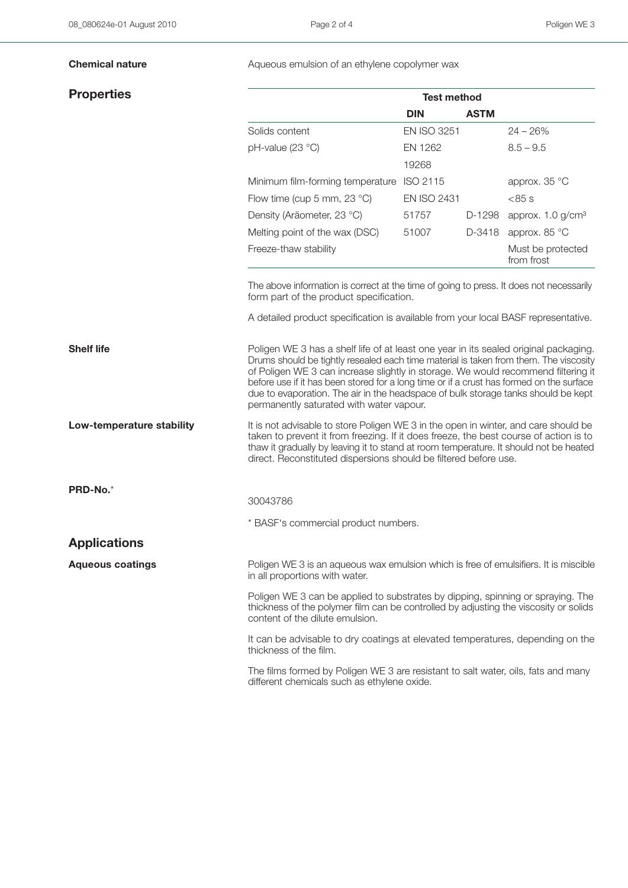## **Properties**

**Chemical nature Aqueous emulsion of an ethylene copolymer wax** 

|                                       | <b>Test method</b> |             |                                 |
|---------------------------------------|--------------------|-------------|---------------------------------|
|                                       | <b>DIN</b>         | <b>ASTM</b> |                                 |
| Solids content                        | <b>EN ISO 3251</b> |             | $24 - 26%$                      |
| $pH$ -value (23 °C)                   | FN 1262            |             | $8.5 - 9.5$                     |
|                                       | 19268              |             |                                 |
| Minimum film-forming temperature      | ISO 2115           |             | approx. 35 °C                   |
| Flow time (cup 5 mm, 23 $^{\circ}$ C) | <b>EN ISO 2431</b> |             | $< 85$ s                        |
| Density (Aräometer, 23 °C)            | 51757              | D-1298      | approx. $1.0$ g/cm <sup>3</sup> |
| Melting point of the wax (DSC)        | 51007              | D-3418      | approx. 85 °C                   |
| Freeze-thaw stability                 |                    |             | Must be protected<br>from frost |

The above information is correct at the time of going to press. It does not necessarily form part of the product specification.

A detailed product specification is available from your local BASF representative.

**Shelf life Example 2 has a shelf life of at least one year in its sealed original packaging.** Drums should be tightly resealed each time material is taken from them. The viscosity of Poligen WE 3 can increase slightly in storage. We would recommend filtering it before use if it has been stored for a long time or if a crust has formed on the surface due to evaporation. The air in the headspace of bulk storage tanks should be kept permanently saturated with water vapour.

**Low-temperature stability** It is not advisable to store Poligen WE 3 in the open in winter, and care should be taken to prevent it from freezing. If it does freeze, the best course of action is to thaw it gradually by leaving it to stand at room temperature. It should not be heated direct. Reconstituted dispersions should be filtered before use.

30043786

\* BASF's commercial product numbers.

**Applications**

**PRD-No.**\*

**Aqueous coatings** Poligen WE 3 is an aqueous wax emulsion which is free of emulsifiers. It is miscible in all proportions with water.

> Poligen WE 3 can be applied to substrates by dipping, spinning or spraying. The thickness of the polymer film can be controlled by adjusting the viscosity or solids content of the dilute emulsion.

> It can be advisable to dry coatings at elevated temperatures, depending on the thickness of the film.

> The films formed by Poligen WE 3 are resistant to salt water, oils, fats and many different chemicals such as ethylene oxide.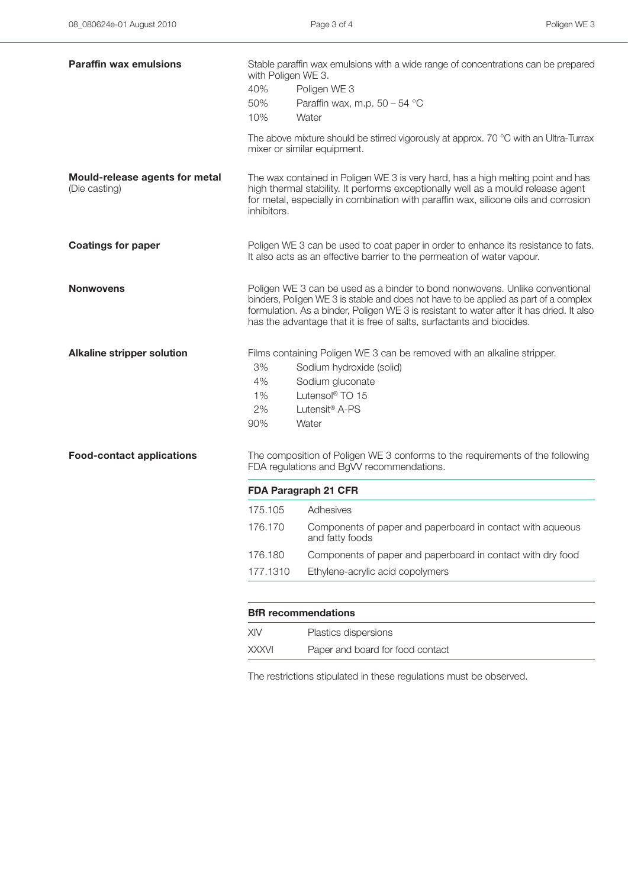| <b>Paraffin wax emulsions</b>                   | Stable paraffin wax emulsions with a wide range of concentrations can be prepared<br>with Poligen WE 3.<br>40%<br>Poligen WE 3                                                                                                                                            |                                                                                                                                                                                                                                                                                                                                          |  |  |
|-------------------------------------------------|---------------------------------------------------------------------------------------------------------------------------------------------------------------------------------------------------------------------------------------------------------------------------|------------------------------------------------------------------------------------------------------------------------------------------------------------------------------------------------------------------------------------------------------------------------------------------------------------------------------------------|--|--|
|                                                 | 50%<br>10%                                                                                                                                                                                                                                                                | Paraffin wax, m.p. $50 - 54$ °C<br>Water                                                                                                                                                                                                                                                                                                 |  |  |
|                                                 |                                                                                                                                                                                                                                                                           | The above mixture should be stirred vigorously at approx. 70 °C with an Ultra-Turrax<br>mixer or similar equipment.                                                                                                                                                                                                                      |  |  |
| Mould-release agents for metal<br>(Die casting) | The wax contained in Poligen WE 3 is very hard, has a high melting point and has<br>high thermal stability. It performs exceptionally well as a mould release agent<br>for metal, especially in combination with paraffin wax, silicone oils and corrosion<br>inhibitors. |                                                                                                                                                                                                                                                                                                                                          |  |  |
| <b>Coatings for paper</b>                       | Poligen WE 3 can be used to coat paper in order to enhance its resistance to fats.<br>It also acts as an effective barrier to the permeation of water vapour.                                                                                                             |                                                                                                                                                                                                                                                                                                                                          |  |  |
| <b>Nonwovens</b>                                |                                                                                                                                                                                                                                                                           | Poligen WE 3 can be used as a binder to bond nonwovens. Unlike conventional<br>binders, Poligen WE 3 is stable and does not have to be applied as part of a complex<br>formulation. As a binder, Poligen WE 3 is resistant to water after it has dried. It also<br>has the advantage that it is free of salts, surfactants and biocides. |  |  |
| <b>Alkaline stripper solution</b>               | 3%<br>4%<br>1%<br>2%<br>90%                                                                                                                                                                                                                                               | Films containing Poligen WE 3 can be removed with an alkaline stripper.<br>Sodium hydroxide (solid)<br>Sodium gluconate<br>Lutensol <sup>®</sup> TO 15<br>Lutensit <sup>®</sup> A-PS<br>Water                                                                                                                                            |  |  |
| <b>Food-contact applications</b>                |                                                                                                                                                                                                                                                                           | The composition of Poligen WE 3 conforms to the requirements of the following<br>FDA regulations and BgVV recommendations.                                                                                                                                                                                                               |  |  |
|                                                 | FDA Paragraph 21 CFR                                                                                                                                                                                                                                                      |                                                                                                                                                                                                                                                                                                                                          |  |  |
|                                                 | 175.105                                                                                                                                                                                                                                                                   | Adhesives                                                                                                                                                                                                                                                                                                                                |  |  |
|                                                 | 176.170                                                                                                                                                                                                                                                                   | Components of paper and paperboard in contact with aqueous<br>and fatty foods                                                                                                                                                                                                                                                            |  |  |
|                                                 | 176.180                                                                                                                                                                                                                                                                   | Components of paper and paperboard in contact with dry food                                                                                                                                                                                                                                                                              |  |  |
|                                                 | 177.1310                                                                                                                                                                                                                                                                  | Ethylene-acrylic acid copolymers                                                                                                                                                                                                                                                                                                         |  |  |
|                                                 |                                                                                                                                                                                                                                                                           | <b>BfR</b> recommendations                                                                                                                                                                                                                                                                                                               |  |  |
|                                                 | XIV                                                                                                                                                                                                                                                                       | Plastics dispersions                                                                                                                                                                                                                                                                                                                     |  |  |
|                                                 | <b>XXXVI</b>                                                                                                                                                                                                                                                              | Paper and board for food contact                                                                                                                                                                                                                                                                                                         |  |  |
|                                                 |                                                                                                                                                                                                                                                                           |                                                                                                                                                                                                                                                                                                                                          |  |  |

The restrictions stipulated in these regulations must be observed.